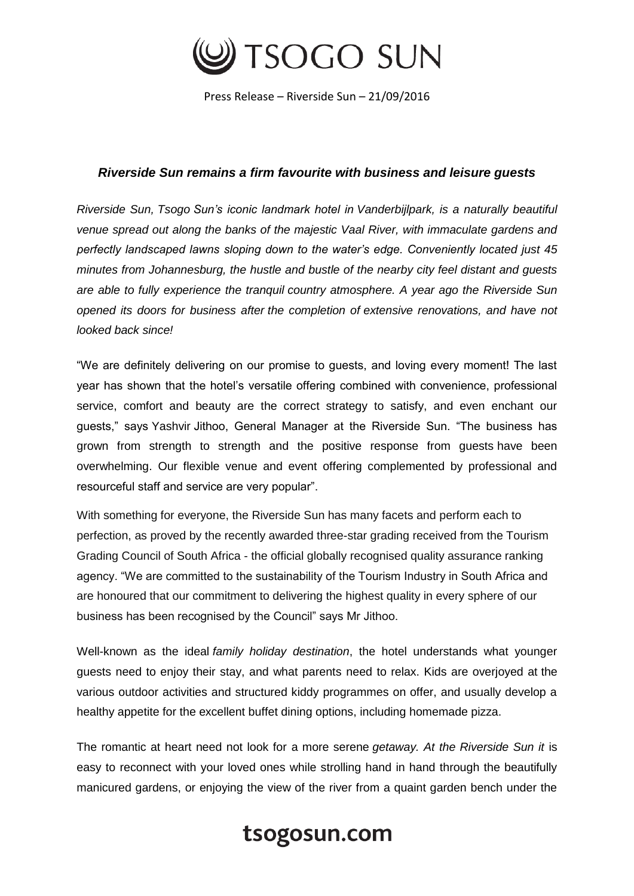

Press Release – Riverside Sun – 21/09/2016

## *Riverside Sun remains a firm favourite with business and leisure guests*

*Riverside Sun, Tsogo Sun's iconic landmark hotel in Vanderbijlpark, is a naturally beautiful venue spread out along the banks of the majestic Vaal River, with immaculate gardens and perfectly landscaped lawns sloping down to the water's edge. Conveniently located just 45 minutes from Johannesburg, the hustle and bustle of the nearby city feel distant and guests are able to fully experience the tranquil country atmosphere. A year ago the Riverside Sun opened its doors for business after the completion of extensive renovations, and have not looked back since!*

"We are definitely delivering on our promise to guests, and loving every moment! The last year has shown that the hotel's versatile offering combined with convenience, professional service, comfort and beauty are the correct strategy to satisfy, and even enchant our guests," says Yashvir Jithoo, General Manager at the Riverside Sun. "The business has grown from strength to strength and the positive response from guests have been overwhelming. Our flexible venue and event offering complemented by professional and resourceful staff and service are very popular".

With something for everyone, the Riverside Sun has many facets and perform each to perfection, as proved by the recently awarded three-star grading received from the Tourism Grading Council of South Africa - the official globally recognised quality assurance ranking agency. "We are committed to the sustainability of the Tourism Industry in South Africa and are honoured that our commitment to delivering the highest quality in every sphere of our business has been recognised by the Council" says Mr Jithoo.

Well-known as the ideal *family holiday destination*, the hotel understands what younger guests need to enjoy their stay, and what parents need to relax. Kids are overjoyed at the various outdoor activities and structured kiddy programmes on offer, and usually develop a healthy appetite for the excellent buffet dining options, including homemade pizza.

The romantic at heart need not look for a more serene *getaway. At the Riverside Sun it* is easy to reconnect with your loved ones while strolling hand in hand through the beautifully manicured gardens, or enjoying the view of the river from a quaint garden bench under the

## tsogosun.com